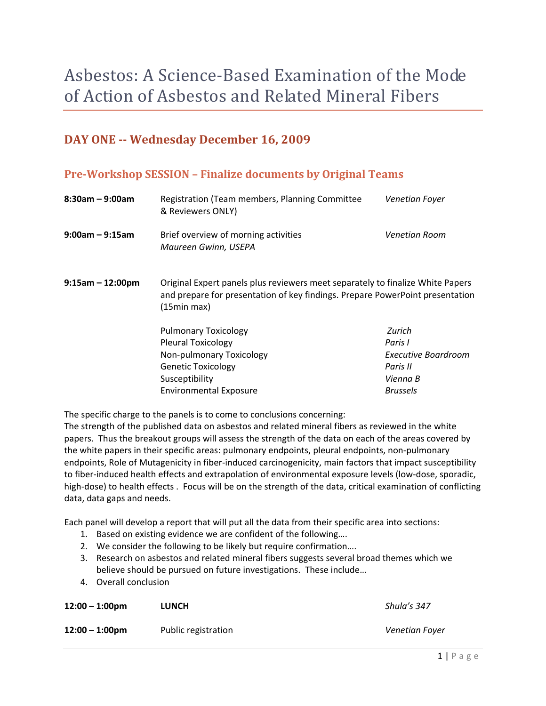# Asbestos: A Science‐Based Examination of the Mode of Action of Asbestos and Related Mineral Fibers

## **DAY ONE Wednesday December 16, 2009**

## **PreWorkshop SESSION – Finalize documents by Original Teams**

| $8:30$ am – 9:00am    | Registration (Team members, Planning Committee<br>& Reviewers ONLY)                                                                                                            | Venetian Foyer                                                                      |
|-----------------------|--------------------------------------------------------------------------------------------------------------------------------------------------------------------------------|-------------------------------------------------------------------------------------|
| $9:00$ am – $9:15$ am | Brief overview of morning activities<br>Maureen Gwinn, USEPA                                                                                                                   | Venetian Room                                                                       |
| $9:15am - 12:00pm$    | Original Expert panels plus reviewers meet separately to finalize White Papers<br>and prepare for presentation of key findings. Prepare PowerPoint presentation<br>(15min max) |                                                                                     |
|                       | <b>Pulmonary Toxicology</b><br><b>Pleural Toxicology</b><br>Non-pulmonary Toxicology<br><b>Genetic Toxicology</b><br>Susceptibility<br><b>Environmental Exposure</b>           | Zurich<br>Paris I<br>Executive Boardroom<br>Paris II<br>Vienna B<br><b>Brussels</b> |

The specific charge to the panels is to come to conclusions concerning:

The strength of the published data on asbestos and related mineral fibers as reviewed in the white papers. Thus the breakout groups will assess the strength of the data on each of the areas covered by the white papers in their specific areas: pulmonary endpoints, pleural endpoints, non‐pulmonary endpoints, Role of Mutagenicity in fiber-induced carcinogenicity, main factors that impact susceptibility to fiber-induced health effects and extrapolation of environmental exposure levels (low-dose, sporadic, high-dose) to health effects . Focus will be on the strength of the data, critical examination of conflicting data, data gaps and needs.

Each panel will develop a report that will put all the data from their specific area into sections:

- 1. Based on existing evidence we are confident of the following….
- 2. We consider the following to be likely but require confirmation….
- 3. Research on asbestos and related mineral fibers suggests several broad themes which we believe should be pursued on future investigations. These include…
- 4. Overall conclusion

| $12:00 - 1:00$ pm | <b>LUNCH</b>        | Shula's 347    |
|-------------------|---------------------|----------------|
| $12:00 - 1:00$ pm | Public registration | Venetian Fover |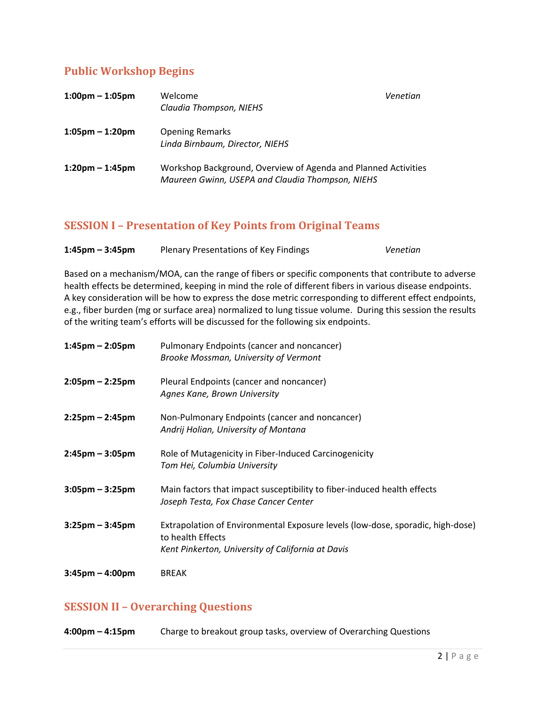## **Public Workshop Begins**

| $1:00 \text{pm} - 1:05 \text{pm}$ | Welcome<br>Claudia Thompson, NIEHS                                                                                 | Venetian |
|-----------------------------------|--------------------------------------------------------------------------------------------------------------------|----------|
| $1:05$ pm – 1:20pm                | <b>Opening Remarks</b><br>Linda Birnbaum, Director, NIEHS                                                          |          |
| $1:20$ pm – 1:45pm                | Workshop Background, Overview of Agenda and Planned Activities<br>Maureen Gwinn, USEPA and Claudia Thompson, NIEHS |          |

### **SESSION I – Presentation of Key Points from Original Teams**

| $1:45$ pm – $3:45$ pm | <b>Plenary Presentations of Key Findings</b> | Venetian |
|-----------------------|----------------------------------------------|----------|
|-----------------------|----------------------------------------------|----------|

Based on a mechanism/MOA, can the range of fibers or specific components that contribute to adverse health effects be determined, keeping in mind the role of different fibers in various disease endpoints. A key consideration will be how to express the dose metric corresponding to different effect endpoints, e.g., fiber burden (mg or surface area) normalized to lung tissue volume. During this session the results of the writing team's efforts will be discussed for the following six endpoints.

| $1:45$ pm – 2:05pm                | Pulmonary Endpoints (cancer and noncancer)<br>Brooke Mossman, University of Vermont                                                                      |
|-----------------------------------|----------------------------------------------------------------------------------------------------------------------------------------------------------|
| $2:05 \text{pm} - 2:25 \text{pm}$ | Pleural Endpoints (cancer and noncancer)<br>Agnes Kane, Brown University                                                                                 |
| $2:25$ pm – 2:45pm                | Non-Pulmonary Endpoints (cancer and noncancer)<br>Andrij Holian, University of Montana                                                                   |
| $2:45$ pm – 3:05pm                | Role of Mutagenicity in Fiber-Induced Carcinogenicity<br>Tom Hei, Columbia University                                                                    |
| $3:05$ pm – $3:25$ pm             | Main factors that impact susceptibility to fiber-induced health effects<br>Joseph Testa, Fox Chase Cancer Center                                         |
| $3:25$ pm – $3:45$ pm             | Extrapolation of Environmental Exposure levels (low-dose, sporadic, high-dose)<br>to health Effects<br>Kent Pinkerton, University of California at Davis |
| $3:45$ pm – 4:00pm                | <b>BREAK</b>                                                                                                                                             |

## **SESSION II – Overarching Questions**

**4:00pm – 4:15pm** Charge to breakout group tasks, overview of Overarching Questions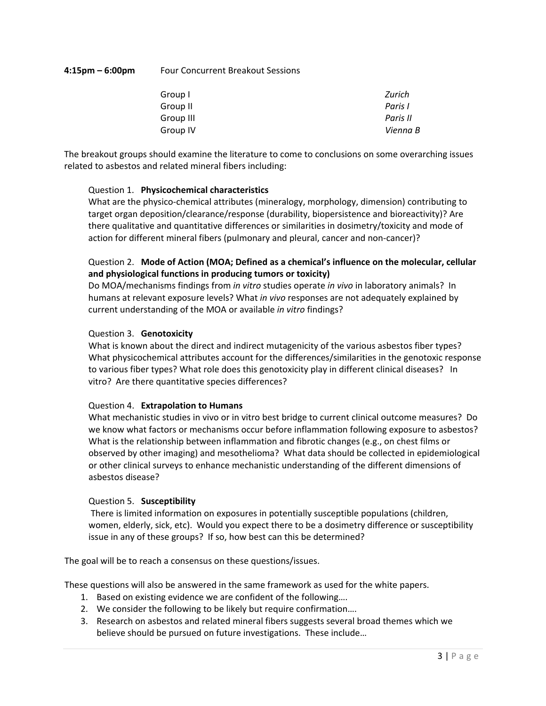#### **4:15pm – 6:00pm** Four Concurrent Breakout Sessions

| Group I   | Zurich   |
|-----------|----------|
| Group II  | Paris I  |
| Group III | Paris II |
| Group IV  | Vienna B |

The breakout groups should examine the literature to come to conclusions on some overarching issues related to asbestos and related mineral fibers including:

#### Question 1. **Physicochemical characteristics**

What are the physico-chemical attributes (mineralogy, morphology, dimension) contributing to target organ deposition/clearance/response (durability, biopersistence and bioreactivity)? Are there qualitative and quantitative differences or similarities in dosimetry/toxicity and mode of action for different mineral fibers (pulmonary and pleural, cancer and non‐cancer)?

#### Question 2. **Mode of Action (MOA; Defined as a chemical's influence on the molecular, cellular and physiological functions in producing tumors or toxicity)**

Do MOA/mechanisms findings from *in vitro* studies operate *in vivo* in laboratory animals? In humans at relevant exposure levels? What *in vivo* responses are not adequately explained by current understanding of the MOA or available *in vitro* findings?

#### Question 3. **Genotoxicity**

What is known about the direct and indirect mutagenicity of the various asbestos fiber types? What physicochemical attributes account for the differences/similarities in the genotoxic response to various fiber types? What role does this genotoxicity play in different clinical diseases? In vitro? Are there quantitative species differences?

#### Question 4. **Extrapolation to Humans**

What mechanistic studies in vivo or in vitro best bridge to current clinical outcome measures? Do we know what factors or mechanisms occur before inflammation following exposure to asbestos? What is the relationship between inflammation and fibrotic changes (e.g., on chest films or observed by other imaging) and mesothelioma? What data should be collected in epidemiological or other clinical surveys to enhance mechanistic understanding of the different dimensions of asbestos disease?

#### Question 5. **Susceptibility**

There is limited information on exposures in potentially susceptible populations (children, women, elderly, sick, etc). Would you expect there to be a dosimetry difference or susceptibility issue in any of these groups? If so, how best can this be determined?

The goal will be to reach a consensus on these questions/issues.

These questions will also be answered in the same framework as used for the white papers.

- 1. Based on existing evidence we are confident of the following….
- 2. We consider the following to be likely but require confirmation….
- 3. Research on asbestos and related mineral fibers suggests several broad themes which we believe should be pursued on future investigations. These include…